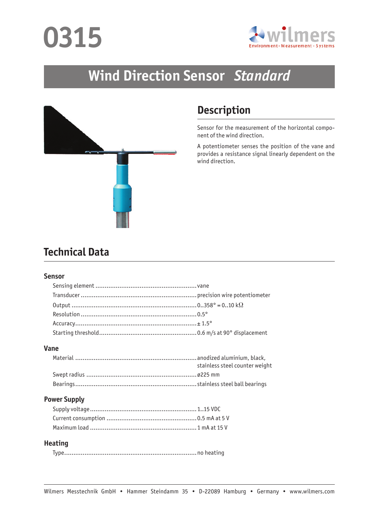# **0315**



## **Wind Direction Sensor** *Standard*



## **Description**

Sensor for the measurement of the horizontal component of the wind direction.

A potentiometer senses the position of the vane and provides a resistance signal linearly dependent on the wind direction.

### **Technical Data**

#### **Sensor**

#### **Vane**

| stainless steel counter weight |
|--------------------------------|
|                                |
|                                |

#### **Power Supply**

#### **Heating**

|--|--|